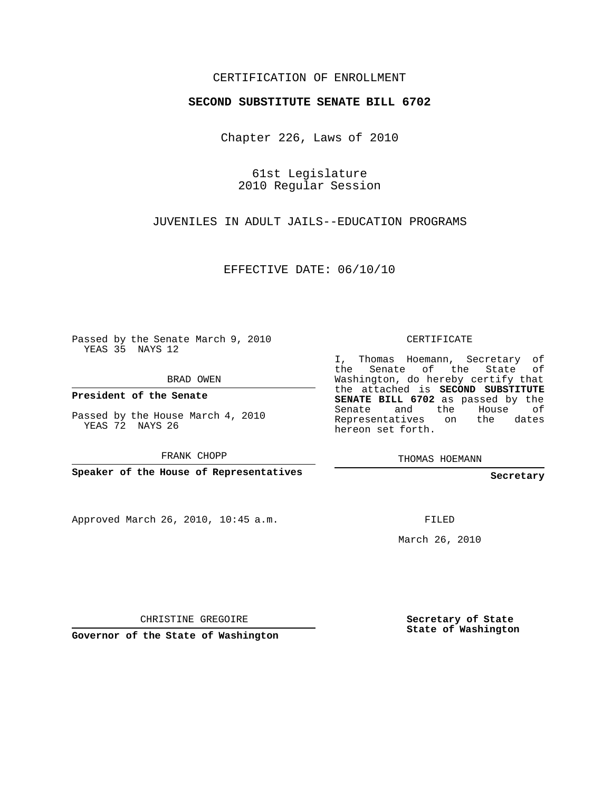## CERTIFICATION OF ENROLLMENT

### **SECOND SUBSTITUTE SENATE BILL 6702**

Chapter 226, Laws of 2010

61st Legislature 2010 Regular Session

JUVENILES IN ADULT JAILS--EDUCATION PROGRAMS

EFFECTIVE DATE: 06/10/10

Passed by the Senate March 9, 2010 YEAS 35 NAYS 12

BRAD OWEN

**President of the Senate**

Passed by the House March 4, 2010 YEAS 72 NAYS 26

FRANK CHOPP

**Speaker of the House of Representatives**

Approved March 26, 2010, 10:45 a.m.

CERTIFICATE

I, Thomas Hoemann, Secretary of the Senate of the State of Washington, do hereby certify that the attached is **SECOND SUBSTITUTE SENATE BILL 6702** as passed by the Senate and the House of Representatives on the dates hereon set forth.

THOMAS HOEMANN

**Secretary**

FILED

March 26, 2010

CHRISTINE GREGOIRE

**Governor of the State of Washington**

**Secretary of State State of Washington**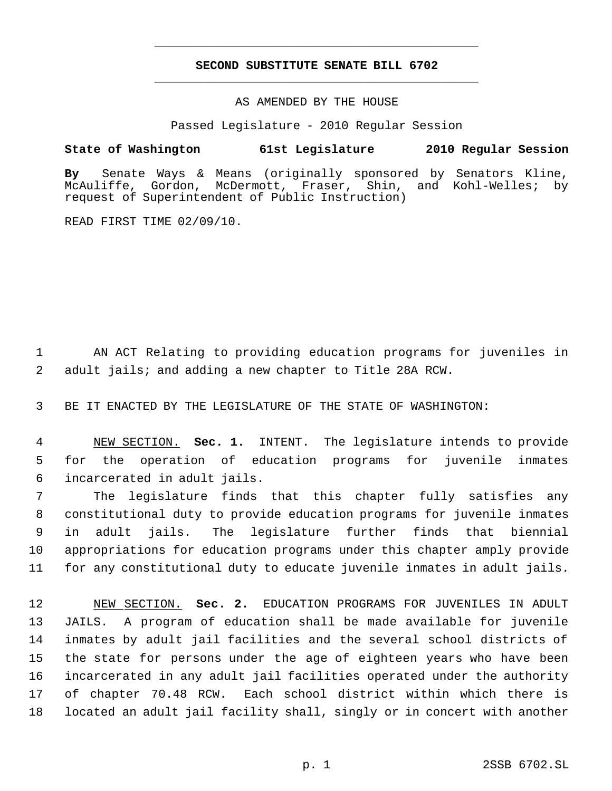# **SECOND SUBSTITUTE SENATE BILL 6702** \_\_\_\_\_\_\_\_\_\_\_\_\_\_\_\_\_\_\_\_\_\_\_\_\_\_\_\_\_\_\_\_\_\_\_\_\_\_\_\_\_\_\_\_\_

\_\_\_\_\_\_\_\_\_\_\_\_\_\_\_\_\_\_\_\_\_\_\_\_\_\_\_\_\_\_\_\_\_\_\_\_\_\_\_\_\_\_\_\_\_

### AS AMENDED BY THE HOUSE

Passed Legislature - 2010 Regular Session

## **State of Washington 61st Legislature 2010 Regular Session**

**By** Senate Ways & Means (originally sponsored by Senators Kline, McDermott, Fraser, Shin, and Kohl-Welles; by request of Superintendent of Public Instruction)

READ FIRST TIME 02/09/10.

 AN ACT Relating to providing education programs for juveniles in adult jails; and adding a new chapter to Title 28A RCW.

BE IT ENACTED BY THE LEGISLATURE OF THE STATE OF WASHINGTON:

 NEW SECTION. **Sec. 1.** INTENT. The legislature intends to provide for the operation of education programs for juvenile inmates incarcerated in adult jails.

 The legislature finds that this chapter fully satisfies any constitutional duty to provide education programs for juvenile inmates in adult jails. The legislature further finds that biennial appropriations for education programs under this chapter amply provide for any constitutional duty to educate juvenile inmates in adult jails.

 NEW SECTION. **Sec. 2.** EDUCATION PROGRAMS FOR JUVENILES IN ADULT JAILS. A program of education shall be made available for juvenile inmates by adult jail facilities and the several school districts of the state for persons under the age of eighteen years who have been incarcerated in any adult jail facilities operated under the authority of chapter 70.48 RCW. Each school district within which there is located an adult jail facility shall, singly or in concert with another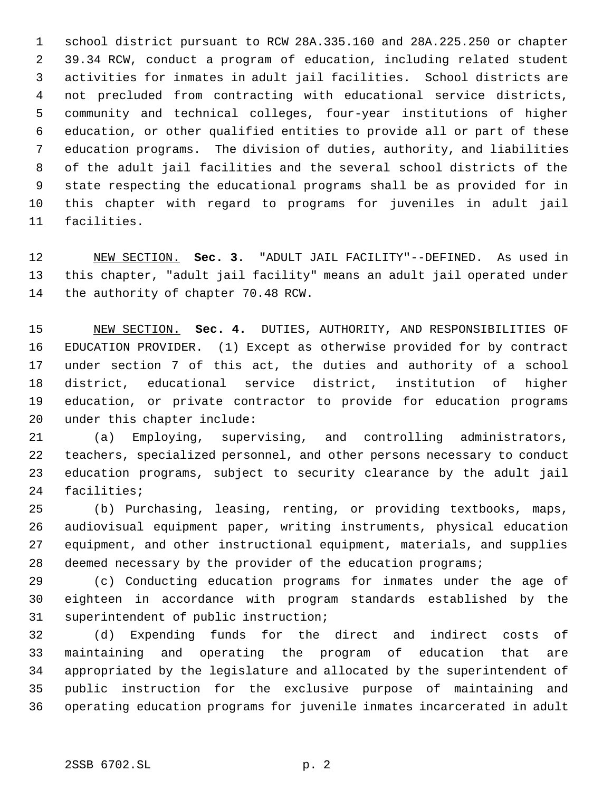school district pursuant to RCW 28A.335.160 and 28A.225.250 or chapter 39.34 RCW, conduct a program of education, including related student activities for inmates in adult jail facilities. School districts are not precluded from contracting with educational service districts, community and technical colleges, four-year institutions of higher education, or other qualified entities to provide all or part of these education programs. The division of duties, authority, and liabilities of the adult jail facilities and the several school districts of the state respecting the educational programs shall be as provided for in this chapter with regard to programs for juveniles in adult jail facilities.

 NEW SECTION. **Sec. 3.** "ADULT JAIL FACILITY"--DEFINED. As used in this chapter, "adult jail facility" means an adult jail operated under the authority of chapter 70.48 RCW.

 NEW SECTION. **Sec. 4.** DUTIES, AUTHORITY, AND RESPONSIBILITIES OF EDUCATION PROVIDER. (1) Except as otherwise provided for by contract under section 7 of this act, the duties and authority of a school district, educational service district, institution of higher education, or private contractor to provide for education programs under this chapter include:

 (a) Employing, supervising, and controlling administrators, teachers, specialized personnel, and other persons necessary to conduct education programs, subject to security clearance by the adult jail facilities;

 (b) Purchasing, leasing, renting, or providing textbooks, maps, audiovisual equipment paper, writing instruments, physical education equipment, and other instructional equipment, materials, and supplies 28 deemed necessary by the provider of the education programs;

 (c) Conducting education programs for inmates under the age of eighteen in accordance with program standards established by the superintendent of public instruction;

 (d) Expending funds for the direct and indirect costs of maintaining and operating the program of education that are appropriated by the legislature and allocated by the superintendent of public instruction for the exclusive purpose of maintaining and operating education programs for juvenile inmates incarcerated in adult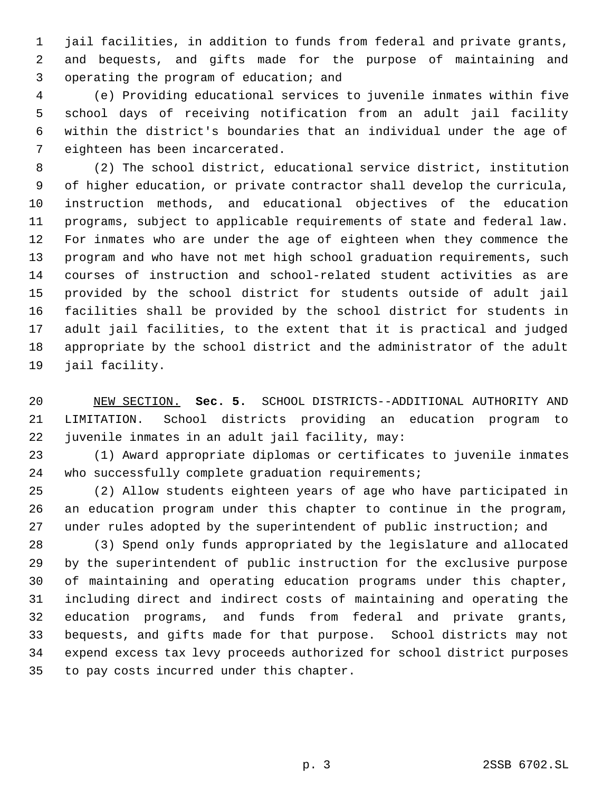jail facilities, in addition to funds from federal and private grants, and bequests, and gifts made for the purpose of maintaining and operating the program of education; and

 (e) Providing educational services to juvenile inmates within five school days of receiving notification from an adult jail facility within the district's boundaries that an individual under the age of eighteen has been incarcerated.

 (2) The school district, educational service district, institution of higher education, or private contractor shall develop the curricula, instruction methods, and educational objectives of the education programs, subject to applicable requirements of state and federal law. For inmates who are under the age of eighteen when they commence the program and who have not met high school graduation requirements, such courses of instruction and school-related student activities as are provided by the school district for students outside of adult jail facilities shall be provided by the school district for students in adult jail facilities, to the extent that it is practical and judged appropriate by the school district and the administrator of the adult jail facility.

 NEW SECTION. **Sec. 5.** SCHOOL DISTRICTS--ADDITIONAL AUTHORITY AND LIMITATION. School districts providing an education program to juvenile inmates in an adult jail facility, may:

 (1) Award appropriate diplomas or certificates to juvenile inmates who successfully complete graduation requirements;

 (2) Allow students eighteen years of age who have participated in an education program under this chapter to continue in the program, under rules adopted by the superintendent of public instruction; and

 (3) Spend only funds appropriated by the legislature and allocated by the superintendent of public instruction for the exclusive purpose of maintaining and operating education programs under this chapter, including direct and indirect costs of maintaining and operating the education programs, and funds from federal and private grants, bequests, and gifts made for that purpose. School districts may not expend excess tax levy proceeds authorized for school district purposes to pay costs incurred under this chapter.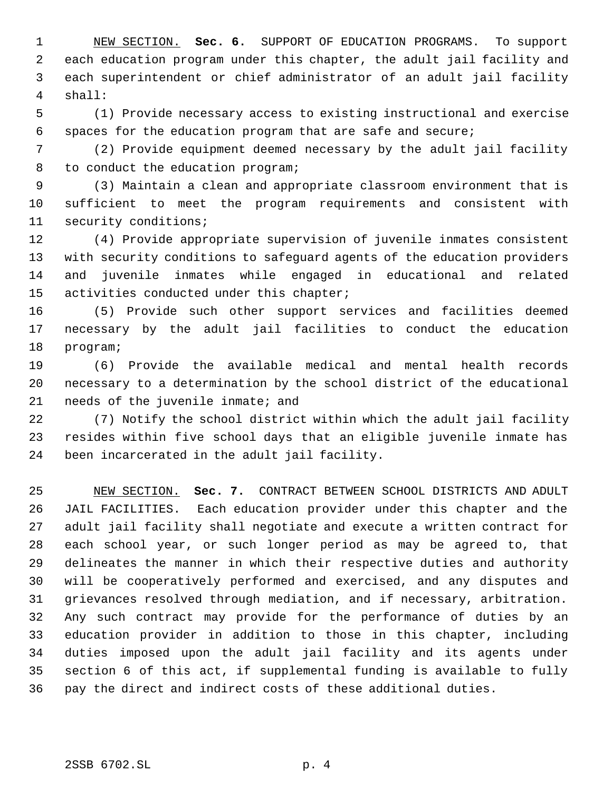NEW SECTION. **Sec. 6.** SUPPORT OF EDUCATION PROGRAMS. To support each education program under this chapter, the adult jail facility and each superintendent or chief administrator of an adult jail facility shall:

 (1) Provide necessary access to existing instructional and exercise spaces for the education program that are safe and secure;

 (2) Provide equipment deemed necessary by the adult jail facility to conduct the education program;

 (3) Maintain a clean and appropriate classroom environment that is sufficient to meet the program requirements and consistent with security conditions;

 (4) Provide appropriate supervision of juvenile inmates consistent with security conditions to safeguard agents of the education providers and juvenile inmates while engaged in educational and related 15 activities conducted under this chapter;

 (5) Provide such other support services and facilities deemed necessary by the adult jail facilities to conduct the education program;

 (6) Provide the available medical and mental health records necessary to a determination by the school district of the educational needs of the juvenile inmate; and

 (7) Notify the school district within which the adult jail facility resides within five school days that an eligible juvenile inmate has been incarcerated in the adult jail facility.

 NEW SECTION. **Sec. 7.** CONTRACT BETWEEN SCHOOL DISTRICTS AND ADULT JAIL FACILITIES. Each education provider under this chapter and the adult jail facility shall negotiate and execute a written contract for each school year, or such longer period as may be agreed to, that delineates the manner in which their respective duties and authority will be cooperatively performed and exercised, and any disputes and grievances resolved through mediation, and if necessary, arbitration. Any such contract may provide for the performance of duties by an education provider in addition to those in this chapter, including duties imposed upon the adult jail facility and its agents under section 6 of this act, if supplemental funding is available to fully pay the direct and indirect costs of these additional duties.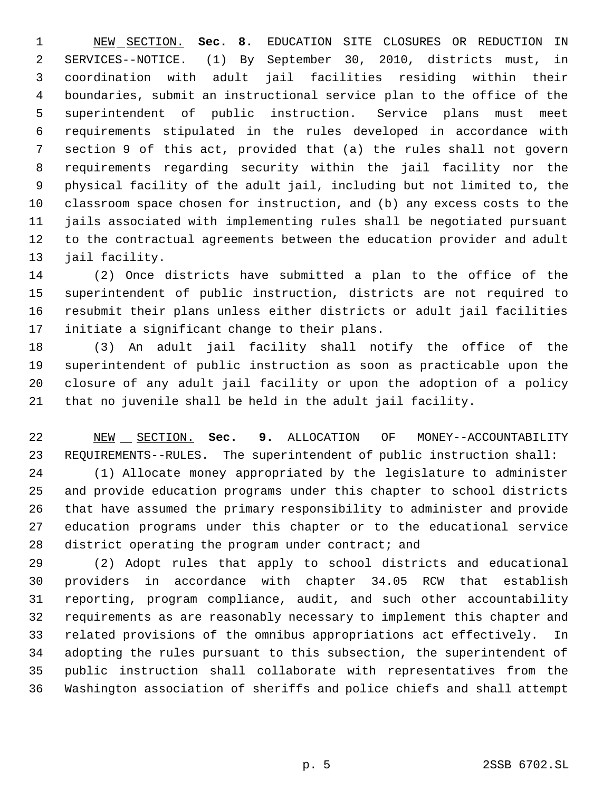NEW SECTION. **Sec. 8.** EDUCATION SITE CLOSURES OR REDUCTION IN SERVICES--NOTICE. (1) By September 30, 2010, districts must, in coordination with adult jail facilities residing within their boundaries, submit an instructional service plan to the office of the superintendent of public instruction. Service plans must meet requirements stipulated in the rules developed in accordance with section 9 of this act, provided that (a) the rules shall not govern requirements regarding security within the jail facility nor the physical facility of the adult jail, including but not limited to, the classroom space chosen for instruction, and (b) any excess costs to the jails associated with implementing rules shall be negotiated pursuant to the contractual agreements between the education provider and adult jail facility.

 (2) Once districts have submitted a plan to the office of the superintendent of public instruction, districts are not required to resubmit their plans unless either districts or adult jail facilities initiate a significant change to their plans.

 (3) An adult jail facility shall notify the office of the superintendent of public instruction as soon as practicable upon the closure of any adult jail facility or upon the adoption of a policy that no juvenile shall be held in the adult jail facility.

22 NEW SECTION. **Sec. 9.** ALLOCATION OF MONEY--ACCOUNTABILITY REQUIREMENTS--RULES. The superintendent of public instruction shall:

 (1) Allocate money appropriated by the legislature to administer and provide education programs under this chapter to school districts that have assumed the primary responsibility to administer and provide education programs under this chapter or to the educational service district operating the program under contract; and

 (2) Adopt rules that apply to school districts and educational providers in accordance with chapter 34.05 RCW that establish reporting, program compliance, audit, and such other accountability requirements as are reasonably necessary to implement this chapter and related provisions of the omnibus appropriations act effectively. In adopting the rules pursuant to this subsection, the superintendent of public instruction shall collaborate with representatives from the Washington association of sheriffs and police chiefs and shall attempt